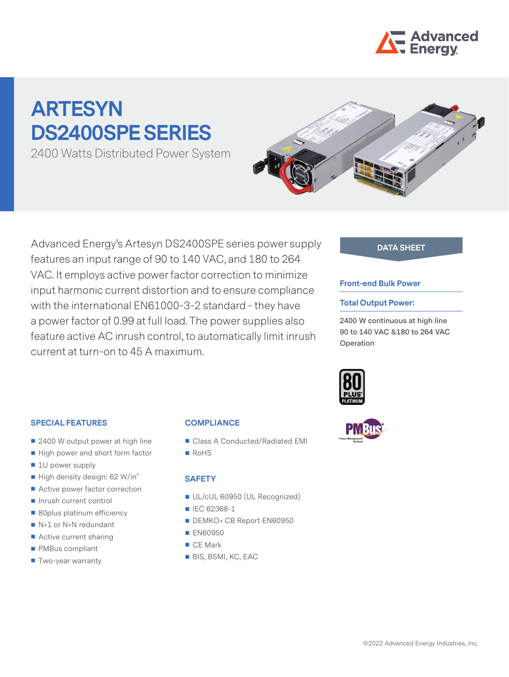

# **ARTESYN DS2400SPE SERIES**

2400 Watts Distributed Power System



Advanced Energy's Artesyn DS2400SPE series power supply features an input range of 90 to 140 VAC, and 180 to 264 VAC. It employs active power factor correction to minimize input harmonic current distortion and to ensure compliance with the international EN61000-3-2 standard - they have a power factor of 0.99 at full load. The power supplies also feature active AC inrush control, to automatically limit inrush current at turn-on to 45 A maximum.

## **DATA SHEET**

#### **Front-end Bulk Power**

#### **Total Output Power:**

**2400 W continuous at high line 90 to 140 VAC &180 to 264 VAC Operation**



### **SPECIAL FEATURES**

- 2400 W output power at high line
- High power and short form factor
- **1U** power supply
- $\blacksquare$  High density design: 62 W/in<sup>3</sup>
- Active power factor correction
- Inrush current control
- 80plus platinum efficiency
- N+1 or N+N redundant
- Active current sharing
- **PMBus compliant**
- **Two-year warranty**

# **COMPLIANCE**

- Class A Conducted/Radiated EMI
- RoHS

#### **SAFETY**

- UL/cUL 60950 (UL Recognized)
- IEC 62368-1
- DEMKO+ CB Report EN60950
- **EN60950**
- CE Mark
- BIS, BSMI, KC, EAC

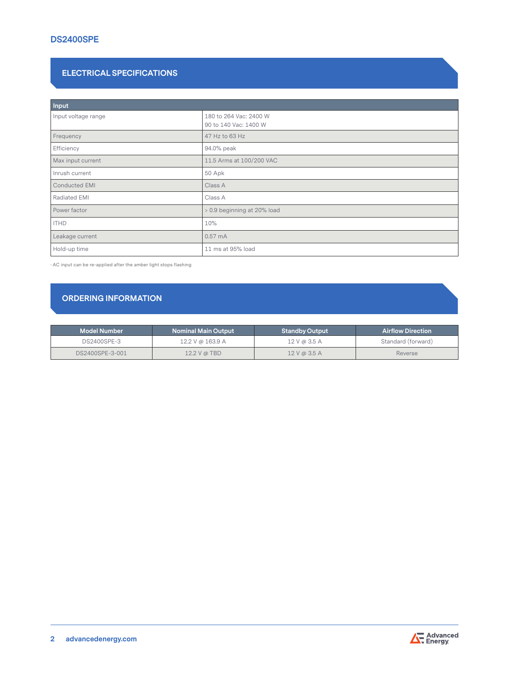# **DS2400SPE**

## **ELECTRICAL SPECIFICATIONS**

| Input                |                                                 |
|----------------------|-------------------------------------------------|
| Input voltage range  | 180 to 264 Vac: 2400 W<br>90 to 140 Vac: 1400 W |
| Frequency            | 47 Hz to 63 Hz                                  |
| Efficiency           | 94.0% peak                                      |
| Max input current    | 11.5 Arms at 100/200 VAC                        |
| Inrush current       | 50 Apk                                          |
| <b>Conducted EMI</b> | Class A                                         |
| Radiated EMI         | Class A                                         |
| Power factor         | > 0.9 beginning at 20% load                     |
| <b>ITHD</b>          | 10%                                             |
| Leakage current      | $0.57 \text{ mA}$                               |
| Hold-up time         | 11 ms at 95% load                               |

· AC input can be re-applied after the amber light stops flashing

# **ORDERING INFORMATION**

| <b>Model Number</b> | <b>Nominal Main Output</b> | <b>Standby Output</b> | <b>Airflow Direction</b> \ |
|---------------------|----------------------------|-----------------------|----------------------------|
| DS2400SPE-3         | 12.2 V @ 163.9 A           | 12 V @ 3.5 A          | Standard (forward)         |
| DS2400SPE-3-001     | $12.2$ V @ TBD             | 12V@3.5A              | Reverse                    |

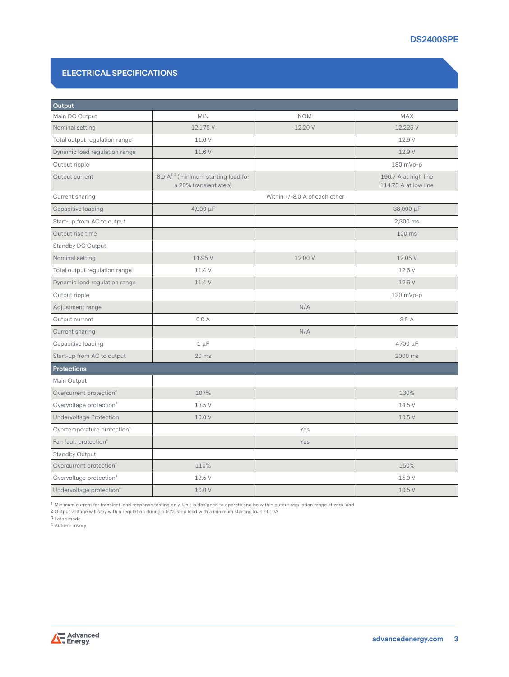# **ELECTRICAL SPECIFICATIONS**

| Output                                  |                                                                   |                               |                                              |
|-----------------------------------------|-------------------------------------------------------------------|-------------------------------|----------------------------------------------|
| Main DC Output                          | <b>MIN</b>                                                        | <b>NOM</b>                    | <b>MAX</b>                                   |
| Nominal setting                         | 12.175 V                                                          | 12.20 V                       | 12.225 V                                     |
| Total output regulation range           | 11.6 V                                                            |                               | 12.9 V                                       |
| Dynamic load regulation range           | 11.6 V                                                            |                               | 12.9 V                                       |
| Output ripple                           |                                                                   |                               | 180 mVp-p                                    |
| Output current                          | 8.0 $A^{1,2}$ (minimum starting load for<br>a 20% transient step) |                               | 196.7 A at high line<br>114.75 A at low line |
| Current sharing                         |                                                                   | Within +/-8.0 A of each other |                                              |
| Capacitive loading                      | 4,900 µF                                                          |                               | 38,000 µF                                    |
| Start-up from AC to output              |                                                                   |                               | 2,300 ms                                     |
| Output rise time                        |                                                                   |                               | 100 ms                                       |
| Standby DC Output                       |                                                                   |                               |                                              |
| Nominal setting                         | 11.95 V                                                           | 12.00 V                       | 12.05 V                                      |
| Total output regulation range           | 11.4 V                                                            |                               | 12.6 V                                       |
| Dynamic load regulation range           | 11.4 V                                                            |                               | 12.6 V                                       |
| Output ripple                           |                                                                   |                               | 120 mVp-p                                    |
| Adjustment range                        |                                                                   | N/A                           |                                              |
| Output current                          | 0.0A                                                              |                               | 3.5 A                                        |
| Current sharing                         |                                                                   | N/A                           |                                              |
| Capacitive loading                      | $1 \mu F$                                                         |                               | 4700 μF                                      |
| Start-up from AC to output              | $20$ ms                                                           |                               | 2000 ms                                      |
| <b>Protections</b>                      |                                                                   |                               |                                              |
| Main Output                             |                                                                   |                               |                                              |
| Overcurrent protection <sup>3</sup>     | 107%                                                              |                               | 130%                                         |
| Overvoltage protection <sup>3</sup>     | 13.5 V                                                            |                               | 14.5 V                                       |
| <b>Undervoltage Protection</b>          | 10.0 V                                                            |                               | 10.5 V                                       |
| Overtemperature protection <sup>4</sup> |                                                                   | Yes                           |                                              |
| Fan fault protection <sup>4</sup>       |                                                                   | Yes                           |                                              |
| Standby Output                          |                                                                   |                               |                                              |
| Overcurrent protection <sup>4</sup>     | 110%                                                              |                               | 150%                                         |
| Overvoltage protection <sup>3</sup>     | 13.5 V                                                            |                               | 15.0 V                                       |
| Undervoltage protection <sup>4</sup>    | 10.0 V                                                            |                               | 10.5 V                                       |

1 Minimum current for transient load response testing only. Unit is designed to operate and be within output regulation range at zero load

2 Output voltage will stay within regulation during a 50% step load with a minimum starting load of 10A

3 Latch mode

4 Auto-recovery

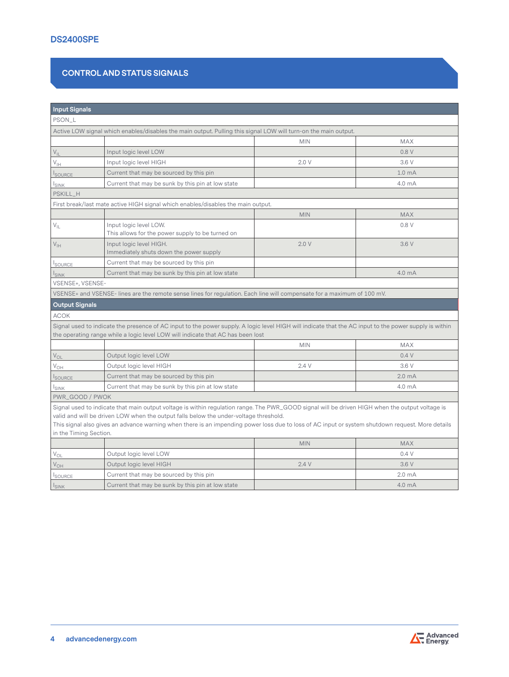# **CONTROL AND STATUS SIGNALS**

| <b>Input Signals</b>       |                                                                                                                                                                                                                                                                                                                                                                                              |            |                    |
|----------------------------|----------------------------------------------------------------------------------------------------------------------------------------------------------------------------------------------------------------------------------------------------------------------------------------------------------------------------------------------------------------------------------------------|------------|--------------------|
| PSON_L                     |                                                                                                                                                                                                                                                                                                                                                                                              |            |                    |
|                            | Active LOW signal which enables/disables the main output. Pulling this signal LOW will turn-on the main output.                                                                                                                                                                                                                                                                              |            |                    |
|                            |                                                                                                                                                                                                                                                                                                                                                                                              | <b>MIN</b> | <b>MAX</b>         |
| $V_{IL}$                   | Input logic level LOW                                                                                                                                                                                                                                                                                                                                                                        |            | 0.8V               |
| $\mathsf{V}_{\mathsf{IH}}$ | Input logic level HIGH                                                                                                                                                                                                                                                                                                                                                                       | 2.0V       | 3.6 V              |
| <b>SOURCE</b>              | Current that may be sourced by this pin                                                                                                                                                                                                                                                                                                                                                      |            | 1.0 <sub>mA</sub>  |
| <b>ISINK</b>               | Current that may be sunk by this pin at low state                                                                                                                                                                                                                                                                                                                                            |            | 4.0 mA             |
| PSKILL_H                   |                                                                                                                                                                                                                                                                                                                                                                                              |            |                    |
|                            | First break/last mate active HIGH signal which enables/disables the main output.                                                                                                                                                                                                                                                                                                             |            |                    |
|                            |                                                                                                                                                                                                                                                                                                                                                                                              | <b>MIN</b> | <b>MAX</b>         |
| $\rm V_{\rm IL}$           | Input logic level LOW.<br>This allows for the power supply to be turned on                                                                                                                                                                                                                                                                                                                   |            | 0.8V               |
| $V_{\text{IH}}$            | Input logic level HIGH.<br>Immediately shuts down the power supply                                                                                                                                                                                                                                                                                                                           | 2.0V       | 3.6 V              |
| <b>SOURCE</b>              | Current that may be sourced by this pin                                                                                                                                                                                                                                                                                                                                                      |            |                    |
| <b>I</b> SINK              | Current that may be sunk by this pin at low state                                                                                                                                                                                                                                                                                                                                            |            | 4.0 mA             |
| VSENSE+, VSENSE-           |                                                                                                                                                                                                                                                                                                                                                                                              |            |                    |
|                            | VSENSE+ and VSENSE- lines are the remote sense lines for regulation. Each line will compensate for a maximum of 100 mV.                                                                                                                                                                                                                                                                      |            |                    |
| <b>Output Signals</b>      |                                                                                                                                                                                                                                                                                                                                                                                              |            |                    |
| <b>ACOK</b>                |                                                                                                                                                                                                                                                                                                                                                                                              |            |                    |
|                            | Signal used to indicate the presence of AC input to the power supply. A logic level HIGH will indicate that the AC input to the power supply is within<br>the operating range while a logic level LOW will indicate that AC has been lost                                                                                                                                                    |            |                    |
|                            |                                                                                                                                                                                                                                                                                                                                                                                              | <b>MIN</b> | <b>MAX</b>         |
| $V_{OL}$                   | Output logic level LOW                                                                                                                                                                                                                                                                                                                                                                       |            | 0.4V               |
| $V_{\text{OH}}$            | Output logic level HIGH                                                                                                                                                                                                                                                                                                                                                                      | 2.4V       | 3.6 V              |
| <b>I</b> SOURCE            | Current that may be sourced by this pin                                                                                                                                                                                                                                                                                                                                                      |            | 2.0 <sub>m</sub> A |
| $I_{SINK}$                 | Current that may be sunk by this pin at low state                                                                                                                                                                                                                                                                                                                                            |            | 4.0 mA             |
| PWR_GOOD / PWOK            |                                                                                                                                                                                                                                                                                                                                                                                              |            |                    |
| in the Timing Section.     | Signal used to indicate that main output voltage is within regulation range. The PWR_GOOD signal will be driven HIGH when the output voltage is<br>valid and will be driven LOW when the output falls below the under-voltage threshold.<br>This signal also gives an advance warning when there is an impending power loss due to loss of AC input or system shutdown request. More details |            |                    |
|                            |                                                                                                                                                                                                                                                                                                                                                                                              | <b>MIN</b> | <b>MAX</b>         |
| V <sub>OL</sub>            | Output logic level LOW                                                                                                                                                                                                                                                                                                                                                                       |            | 0.4V               |
| $V_{OH}$                   | Output logic level HIGH                                                                                                                                                                                                                                                                                                                                                                      | 2.4V       | 3.6 V              |
| <b>SOURCE</b>              | Current that may be sourced by this pin                                                                                                                                                                                                                                                                                                                                                      |            | 2.0 <sub>mA</sub>  |
| $I_{SINK}$                 | Current that may be sunk by this pin at low state                                                                                                                                                                                                                                                                                                                                            |            | 4.0 mA             |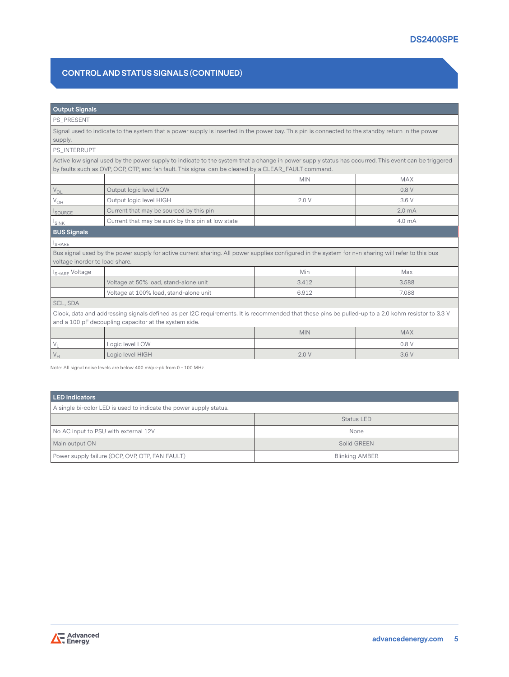# **CONTROL AND STATUS SIGNALS (CONTINUED)**

#### **Output Signals**

PS\_PRESENT

Signal used to indicate to the system that a power supply is inserted in the power bay. This pin is connected to the standby return in the power supply.

PS\_INTERRUPT

Active low signal used by the power supply to indicate to the system that a change in power supply status has occurred. This event can be triggered by faults such as OVP, OCP, OTP, and fan fault. This signal can be cleared by a CLEAR\_FAULT command.

|                    |                                                   | <b>MIN</b> | <b>MAX</b>         |
|--------------------|---------------------------------------------------|------------|--------------------|
| $V_{OL}$           | Output logic level LOW                            |            | 0.8V               |
| ' V <sub>OH</sub>  | Output logic level HIGH                           | 2.0V       | 3.6V               |
| SOURCE             | Current that may be sourced by this pin           |            | 2.0 <sub>m</sub> A |
| <sup>I</sup> SINK  | Current that may be sunk by this pin at low state |            | 4.0 mA             |
| <b>BUS Signals</b> |                                                   |            |                    |

**I**SHARE

Bus signal used by the power supply for active current sharing. All power supplies configured in the system for n+n sharing will refer to this bus voltage inorder to load share.

| <sup>1</sup> I <sub>SHARE</sub> Voltage                                                                                                            |                                                       | Min        | Max        |
|----------------------------------------------------------------------------------------------------------------------------------------------------|-------------------------------------------------------|------------|------------|
|                                                                                                                                                    | Voltage at 50% load, stand-alone unit                 | 3.412      | 3.588      |
|                                                                                                                                                    | Voltage at 100% load, stand-alone unit                | 6.912      | 7.088      |
| SCL, SDA                                                                                                                                           |                                                       |            |            |
| Clock, data and addressing signals defined as per I2C requirements. It is recommended that these pins be pulled-up to a 2.0 kohm resistor to 3.3 V |                                                       |            |            |
|                                                                                                                                                    | and a 100 pF decoupling capacitor at the system side. |            |            |
|                                                                                                                                                    |                                                       | <b>MIN</b> | <b>MAX</b> |
|                                                                                                                                                    | Logic level LOW                                       |            | 0.8V       |
| $V_H$                                                                                                                                              | Logic level HIGH                                      | 2.0V       | 3.6V       |

Note: All signal noise levels are below 400 mVpk-pk from 0 - 100 MHz.

| <b>LED Indicators</b>                                              |                       |
|--------------------------------------------------------------------|-----------------------|
| A single bi-color LED is used to indicate the power supply status. |                       |
|                                                                    | Status LED            |
| No AC input to PSU with external 12V                               | None                  |
| Main output ON                                                     | Solid GREEN           |
| Power supply failure (OCP, OVP, OTP, FAN FAULT)                    | <b>Blinking AMBER</b> |

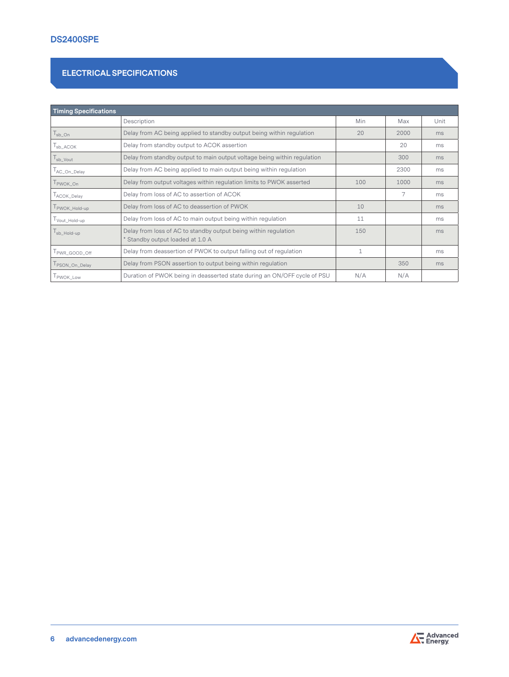# **ELECTRICAL SPECIFICATIONS**

| <b>Timing Specifications</b>  |                                                                                                     |              |      |      |
|-------------------------------|-----------------------------------------------------------------------------------------------------|--------------|------|------|
|                               | Description                                                                                         | Min          | Max  | Unit |
| $\mathsf{I}_{\mathsf{sb}}$ On | Delay from AC being applied to standby output being within regulation                               | 20           | 2000 | ms   |
| $I_{sb \_ACOK}$               | Delay from standby output to ACOK assertion                                                         |              | 20   | ms   |
| $l_{sb_V}$ Vout               | Delay from standby output to main output voltage being within regulation                            |              | 300  | ms   |
| AC_On_Delay                   | Delay from AC being applied to main output being within regulation                                  |              | 2300 | ms   |
| T <sub>PWOK</sub> on          | Delay from output voltages within regulation limits to PWOK asserted                                | 100          | 1000 | ms   |
| ACOK_Delay                    | Delay from loss of AC to assertion of ACOK                                                          |              | 7    | ms   |
| PWOK_Hold-up                  | Delay from loss of AC to deassertion of PWOK                                                        | 10           |      | ms   |
| Vout_Hold-up                  | Delay from loss of AC to main output being within regulation                                        | 11           |      | ms   |
| $l_{sb_Hold-up}$              | Delay from loss of AC to standby output being within regulation<br>* Standby output loaded at 1.0 A | 150          |      | ms   |
| PWR_GOOD_Off                  | Delay from deassertion of PWOK to output falling out of regulation                                  | $\mathbf{1}$ |      | ms   |
| PSON_On_Delay                 | Delay from PSON assertion to output being within regulation                                         |              | 350  | ms   |
| PWOK_Low                      | Duration of PWOK being in deasserted state during an ON/OFF cycle of PSU                            | N/A          | N/A  |      |

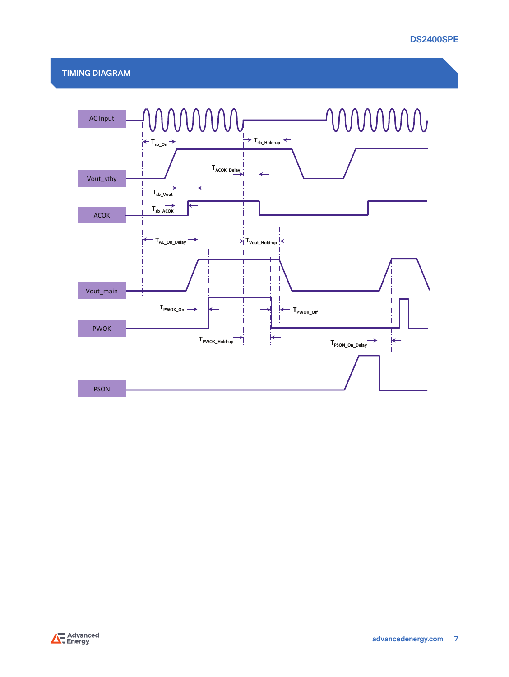# **TIMING DIAGRAM**



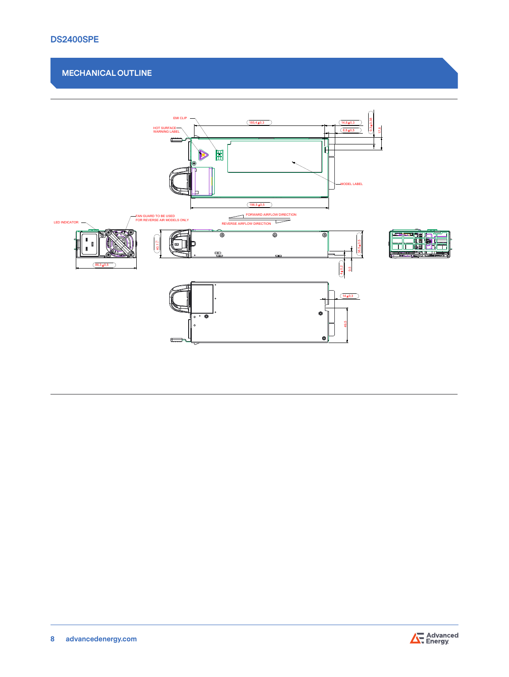# **MECHANICAL OUTLINE**



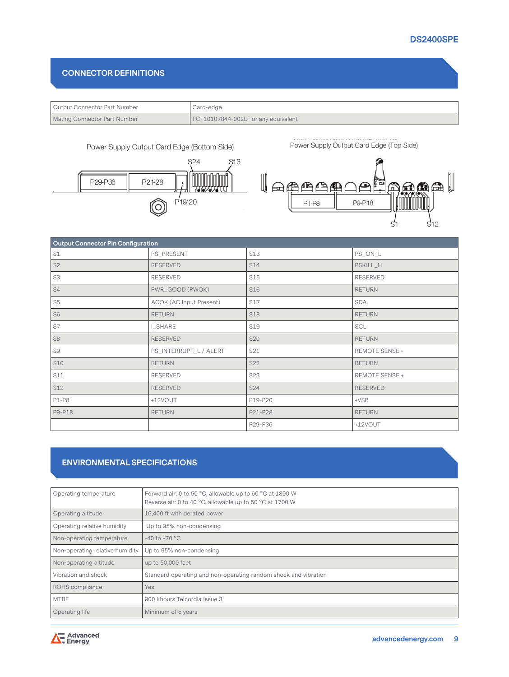## **CONNECTOR DEFINITIONS**

| <sup>1</sup> Output Connector Part Number | Card-edge                            |
|-------------------------------------------|--------------------------------------|
| <b>Mating Connector Part Number</b>       | FCI 10107844-002LF or any equivalent |





Power Supply Output Card Edge (Top Side)



| <b>Output Connector Pin Configuration</b> |                                |                 |                       |
|-------------------------------------------|--------------------------------|-----------------|-----------------------|
| S1                                        | PS_PRESENT                     | <b>S13</b>      | PS_ON_L               |
| S <sub>2</sub>                            | <b>RESERVED</b>                | S14             | PSKILL_H              |
| S <sub>3</sub>                            | RESERVED                       | S15             | <b>RESERVED</b>       |
| S4                                        | PWR_GOOD (PWOK)                | S <sub>16</sub> | <b>RETURN</b>         |
| S <sub>5</sub>                            | <b>ACOK (AC Input Present)</b> | S17             | <b>SDA</b>            |
| S <sub>6</sub>                            | <b>RETURN</b>                  | <b>S18</b>      | <b>RETURN</b>         |
| S7                                        | I_SHARE                        | <b>S19</b>      | <b>SCL</b>            |
| S <sub>8</sub>                            | <b>RESERVED</b>                | <b>S20</b>      | <b>RETURN</b>         |
| S9                                        | PS_INTERRUPT_L / ALERT         | S21             | <b>REMOTE SENSE -</b> |
| <b>S10</b>                                | <b>RETURN</b>                  | S22             | <b>RETURN</b>         |
| <b>S11</b>                                | RESERVED                       | <b>S23</b>      | REMOTE SENSE +        |
| S12                                       | <b>RESERVED</b>                | S24             | <b>RESERVED</b>       |
| $P1-P8$                                   | +12VOUT                        | P19-P20         | $+VSB$                |
| P9-P18                                    | <b>RETURN</b>                  | P21-P28         | <b>RETURN</b>         |
|                                           |                                | P29-P36         | +12VOUT               |

# **ENVIRONMENTAL SPECIFICATIONS**

| Operating temperature           | Forward air: 0 to 50 °C, allowable up to 60 °C at 1800 W<br>Reverse air: 0 to 40 °C, allowable up to 50 °C at 1700 W |
|---------------------------------|----------------------------------------------------------------------------------------------------------------------|
| Operating altitude              | 16,400 ft with derated power                                                                                         |
| Operating relative humidity     | Up to 95% non-condensing                                                                                             |
| Non-operating temperature       | $-40$ to $+70$ °C                                                                                                    |
| Non-operating relative humidity | Up to 95% non-condensing                                                                                             |
| Non-operating altitude          | up to 50,000 feet                                                                                                    |
| Vibration and shock             | Standard operating and non-operating random shock and vibration                                                      |
| ROHS compliance                 | <b>Yes</b>                                                                                                           |
| <b>MTBF</b>                     | 900 khours Telcordia Issue 3                                                                                         |
| Operating life                  | Minimum of 5 years                                                                                                   |